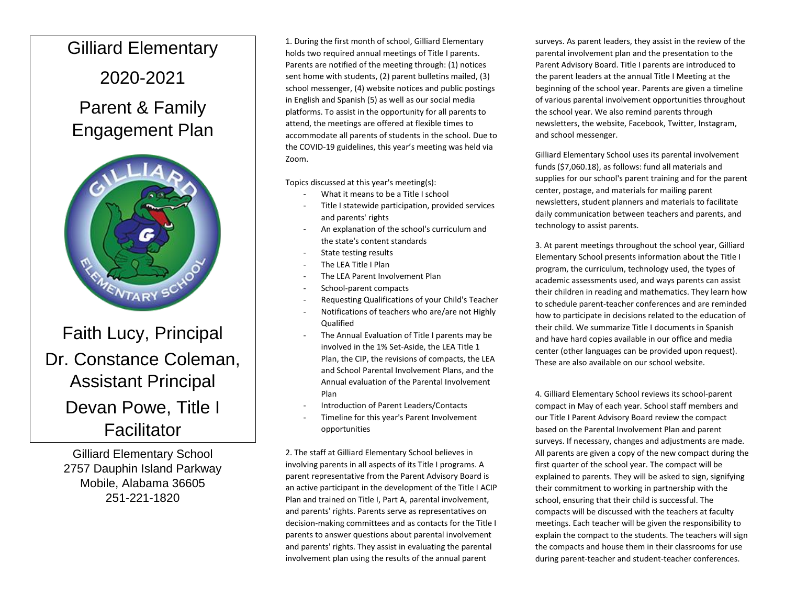## Gilliard Elementary

## 2020-2021

## Parent & Family Engagement Plan



Faith Lucy, Principal Dr. Constance Coleman, Assistant Principal Devan Powe, Title I **Facilitator** 

Gilliard Elementary School 2757 Dauphin Island Parkway Mobile, Alabama 36605 251-221-1820

1. During the first month of school, Gilliard Elementary holds two required annual meetings of Title I parents. Parents are notified of the meeting through: (1) notices sent home with students, (2) parent bulletins mailed, (3) school messenger, (4) website notices and public postings in English and Spanish (5) as well as our social media platforms. To assist in the opportunity for all parents to attend, the meetings are offered at flexible times to accommodate all parents of students in the school. Due to the COVID-19 guidelines, this year's meeting was held via Zoom.

Topics discussed at this year's meeting(s):

- What it means to be a Title I school
- Title I statewide participation, provided services and parents' rights
- An explanation of the school's curriculum and the state's content standards
- State testing results
- The LEA Title I Plan
- The LEA Parent Involvement Plan
- School-parent compacts
- Requesting Qualifications of your Child's Teacher
- Notifications of teachers who are/are not Highly **Qualified**
- The Annual Evaluation of Title I parents may be involved in the 1% Set-Aside, the LEA Title 1 Plan, the CIP, the revisions of compacts, the LEA and School Parental Involvement Plans, and the Annual evaluation of the Parental Involvement Plan
- Introduction of Parent Leaders/Contacts
- Timeline for this year's Parent Involvement opportunities

2. The staff at Gilliard Elementary School believes in involving parents in all aspects of its Title I programs. A parent representative from the Parent Advisory Board is an active participant in the development of the Title I ACIP Plan and trained on Title I, Part A, parental involvement, and parents' rights. Parents serve as representatives on decision-making committees and as contacts for the Title I parents to answer questions about parental involvement and parents' rights. They assist in evaluating the parental involvement plan using the results of the annual parent

surveys. As parent leaders, they assist in the review of the parental involvement plan and the presentation to the Parent Advisory Board. Title I parents are introduced to the parent leaders at the annual Title I Meeting at the beginning of the school year. Parents are given a timeline of various parental involvement opportunities throughout the school year. We also remind parents through newsletters, the website, Facebook, Twitter, Instagram, and school messenger.

Gilliard Elementary School uses its parental involvement funds (\$7,060.18), as follows: fund all materials and supplies for our school's parent training and for the parent center, postage, and materials for mailing parent newsletters, student planners and materials to facilitate daily communication between teachers and parents, and technology to assist parents.

3. At parent meetings throughout the school year, Gilliard Elementary School presents information about the Title I program, the curriculum, technology used, the types of academic assessments used, and ways parents can assist their children in reading and mathematics. They learn how to schedule parent-teacher conferences and are reminded how to participate in decisions related to the education of their child. We summarize Title I documents in Spanish and have hard copies available in our office and media center (other languages can be provided upon request). These are also available on our school website.

4. Gilliard Elementary School reviews its school-parent compact in May of each year. School staff members and our Title I Parent Advisory Board review the compact based on the Parental Involvement Plan and parent surveys. If necessary, changes and adjustments are made. All parents are given a copy of the new compact during the first quarter of the school year. The compact will be explained to parents. They will be asked to sign, signifying their commitment to working in partnership with the school, ensuring that their child is successful. The compacts will be discussed with the teachers at faculty meetings. Each teacher will be given the responsibility to explain the compact to the students. The teachers will sign the compacts and house them in their classrooms for use during parent-teacher and student-teacher conferences.